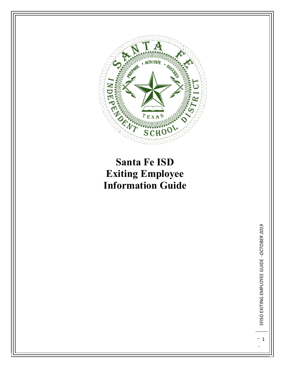

# **Santa Fe ISD Exiting Employee Information Guide**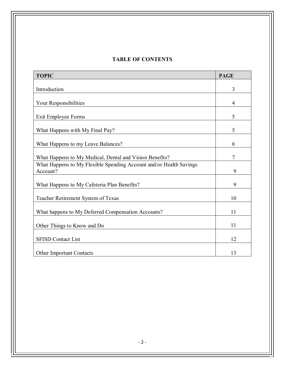# **TABLE OF CONTENTS**

| <b>TOPIC</b>                                                                   | <b>PAGE</b>    |
|--------------------------------------------------------------------------------|----------------|
|                                                                                |                |
| Introduction                                                                   | 3              |
| Your Responsibilities                                                          | $\overline{4}$ |
| Exit Employee Forms                                                            | 5              |
| What Happens with My Final Pay?                                                | 5              |
| What Happens to my Leave Balances?                                             | 6              |
| What Happens to My Medical, Dental and Vision Benefits?                        | $\overline{7}$ |
| What Happens to My Flexible Spending Account and/or Health Savings<br>Account? | 9              |
| What Happens to My Cafeteria Plan Benefits?                                    | 9              |
| Teacher Retirement System of Texas                                             | 10             |
| What happens to My Deferred Compensation Accounts?                             | 11             |
| Other Things to Know and Do                                                    | 11             |
| <b>SFISD Contact List</b>                                                      | 12             |
| <b>Other Important Contacts</b>                                                | 13             |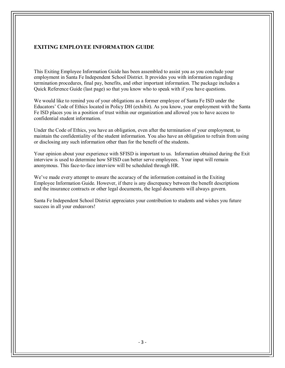## **EXITING EMPLOYEE INFORMATION GUIDE**

This Exiting Employee Information Guide has been assembled to assist you as you conclude your employment in Santa Fe Independent School District. It provides you with information regarding termination procedures, final pay, benefits, and other important information. The package includes a Quick Reference Guide (last page) so that you know who to speak with if you have questions.

We would like to remind you of your obligations as a former employee of Santa Fe ISD under the Educators' Code of Ethics located in Policy DH (exhibit). As you know, your employment with the Santa Fe ISD places you in a position of trust within our organization and allowed you to have access to confidential student information.

Under the Code of Ethics, you have an obligation, even after the termination of your employment, to maintain the confidentiality of the student information. You also have an obligation to refrain from using or disclosing any such information other than for the benefit of the students.

Your opinion about your experience with SFISD is important to us. Information obtained during the Exit interview is used to determine how SFISD can better serve employees. Your input will remain anonymous. This face-to-face interview will be scheduled through HR.

We've made every attempt to ensure the accuracy of the information contained in the Exiting Employee Information Guide. However, if there is any discrepancy between the benefit descriptions and the insurance contracts or other legal documents, the legal documents will always govern.

Santa Fe Independent School District appreciates your contribution to students and wishes you future success in all your endeavors!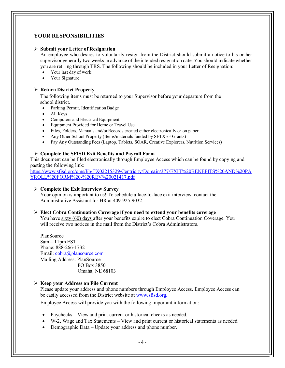## **YOUR RESPONSIBILITIES**

#### **Submit your Letter of Resignation**

An employee who desires to voluntarily resign from the District should submit a notice to his or her supervisor generally two weeks in advance of the intended resignation date. You should indicate whether you are retiring through TRS. The following should be included in your Letter of Resignation:

- Your last day of work
- Your Signature

## **Return District Property**

The following items must be returned to your Supervisor before your departure from the school district.

- Parking Permit, Identification Badge
- All Keys
- Computers and Electrical Equipment
- Equipment Provided for Home or Travel Use
- Files, Folders, Manuals and/or Records created either electronically or on paper
- Any Other School Property (Items/materials funded by SFTXEF Grants)
- Pay Any Outstanding Fees (Laptop, Tablets, SOAR, Creative Explorers, Nutrition Services)

#### **Complete the SFISD Exit Benefits and Payroll Form**

This document can be filed electronically through Employee Access which can be found by copying and pasting the following link:

[https://www.sfisd.org/cms/lib/TX02215329/Centricity/Domain/377/EXIT%20BENEFITS%20AND%20PA](https://www.sfisd.org/cms/lib/TX02215329/Centricity/Domain/377/EXIT%20BENEFITS%20AND%20PAYROLL%20FORM%20-%20REV%20021417.pdf) [YROLL%20FORM%20-%20REV%20021417.pdf](https://www.sfisd.org/cms/lib/TX02215329/Centricity/Domain/377/EXIT%20BENEFITS%20AND%20PAYROLL%20FORM%20-%20REV%20021417.pdf)

#### **Complete the Exit Interview Survey**

Your opinion is important to us! To schedule a face-to-face exit interview, contact the Administrative Assistant for HR at 409-925-9032.

#### **Elect Cobra Continuation Coverage if you need to extend your benefits coverage**

You have sixty (60) days after your benefits expire to elect Cobra Continuation Coverage. You will receive two notices in the mail from the District's Cobra Administrators.

PlanSource  $8am - 11pm EST$ Phone: 888-266-1732 Email: [cobra@plansource.com](mailto:cobra@plansource.com) Mailing Address: PlanSource PO Box 3850 Omaha, NE 68103

#### **Keep your Address on File Current**

Please update your address and phone numbers through Employee Access. Employee Access can be easily accessed from the District website at [www.sfisd.org.](http://www.sfisd.org./)

Employee Access will provide you with the following important information:

- Paychecks View and print current or historical checks as needed.
- W-2, Wage and Tax Statements View and print current or historical statements as needed.
- Demographic Data Update your address and phone number.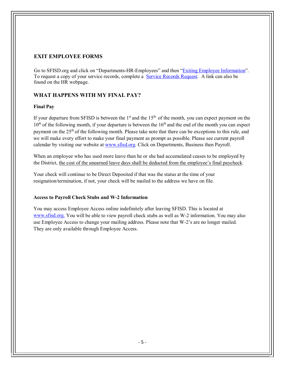# **EXIT EMPLOYEE FORMS**

Go to SFISD.org and click on "Departments-HR-Employees" and then ["Exiting Employee Information"](https://www.sfisd.org/Page/3889). To request a copy of your service records, complete a [Service Records Request.](https://www.sfisd.org/cms/module/selectsurvey/TakeSurvey.aspx?SurveyID=109) A link can also be found on the HR webpage.

# **WHAT HAPPENS WITH MY FINAL PAY?**

## **Final Pay**

If your departure from SFISD is between the  $1<sup>st</sup>$  and the  $15<sup>th</sup>$  of the month, you can expect payment on the  $10<sup>th</sup>$  of the following month, if your departure is between the  $16<sup>th</sup>$  and the end of the month you can expect payment on the 25<sup>th</sup> of the following month. Please take note that there can be exceptions to this rule, and we will make every effort to make your final payment as prompt as possible. Please see current payroll calendar by visiting our website at [www.sfisd.org.](http://www.sfisd.org/) Click on Departments, Business then Payroll.

When an employee who has used more leave than he or she had accumulated ceases to be employed by the District, the cost of the unearned leave days shall be deducted from the employee's final paycheck.

Your check will continue to be Direct Deposited if that was the status at the time of your resignation/termination, if not, your check will be mailed to the address we have on file.

## **Access to Payroll Check Stubs and W-2 Information**

You may access Employee Access online indefinitely after leaving SFISD. This is located at [www.sfisd.org.](http://www.sfisd.org./) You will be able to view payroll check stubs as well as W-2 information. You may also use Employee Access to change your mailing address. Please note that W-2's are no longer mailed. They are only available through Employee Access.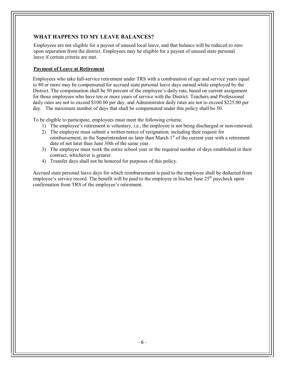# **WHAT HAPPENS TO MY LEAVE BALANCES?**

Employees are not eligible for a payout of unused local leave, and that balance will be reduced to zero upon separation from the district. Employees may be eligible for a payout of unused state personal leave if certain criteria are met.

## **Payment of Leave at Retirement**

 Employees who take full-service retirement under TRS with a combination of age and service years equal to 80 or more may be compensated for accrued state personal leave days earned while employed by the District. The compensation shall be 50 percent of the employee's daily rate, based on current assignment for those employees who have ten or more years of service with the District. Teachers and Professional daily rates are not to exceed \$100.00 per day, and Administrator daily rates are not to exceed \$225.00 per day. The maximum number of days that shall be compensated under this policy shall be 50.

To be eligible to participate, employees must meet the following criteria:

- 1) The employee's retirement is voluntary, i.e., the employee is not being discharged or non-renewed.
- 2) The employee must submit a written notice of resignation, including their request for reimbursement, to the Superintendent no later than March 1<sup>st</sup> of the current year with a retirement date of not later than June 30th of the same year.
- 3) The employee must work the entire school year or the required number of days established in their contract, whichever is greater.
- 4) Transfer days shall not be honored for purposes of this policy.

 Accrued state personal leave days for which reimbursement is paid to the employee shall be deducted from employee's service record. The benefit will be paid to the employee in his/her June  $25<sup>th</sup>$  paycheck upon confirmation from TRS of the employee's retirement.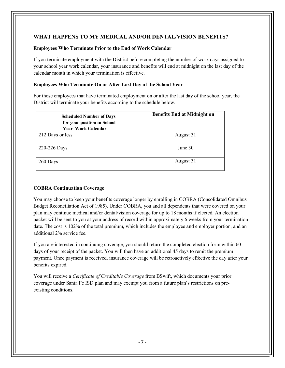# **WHAT HAPPENS TO MY MEDICAL AND/OR DENTAL/VISION BENEFITS?**

## **Employees Who Terminate Prior to the End of Work Calendar**

If you terminate employment with the District before completing the number of work days assigned to your school year work calendar, your insurance and benefits will end at midnight on the last day of the calendar month in which your termination is effective.

## **Employees Who Terminate On or After Last Day of the School Year**

For those employees that have terminated employment on or after the last day of the school year, the District will terminate your benefits according to the schedule below.

| <b>Scheduled Number of Days</b><br>for your position in School<br><b>Year Work Calendar</b> | <b>Benefits End at Midnight on</b> |
|---------------------------------------------------------------------------------------------|------------------------------------|
| 212 Days or less                                                                            | August 31                          |
| 220-226 Days                                                                                | June 30                            |
| 260 Days                                                                                    | August 31                          |

## **COBRA Continuation Coverage**

You may choose to keep your benefits coverage longer by enrolling in COBRA (Consolidated Omnibus Budget Reconciliation Act of 1985). Under COBRA, you and all dependents that were covered on your plan may continue medical and/or dental/vision coverage for up to 18 months if elected. An election packet will be sent to you at your address of record within approximately 6 weeks from your termination date. The cost is 102% of the total premium, which includes the employee and employer portion, and an additional 2% service fee.

If you are interested in continuing coverage, you should return the completed election form within 60 days of your receipt of the packet. You will then have an additional 45 days to remit the premium payment. Once payment is received, insurance coverage will be retroactively effective the day after your benefits expired.

You will receive a *Certificate of Creditable Coverage* from BSwift, which documents your prior coverage under Santa Fe ISD plan and may exempt you from a future plan's restrictions on preexisting conditions.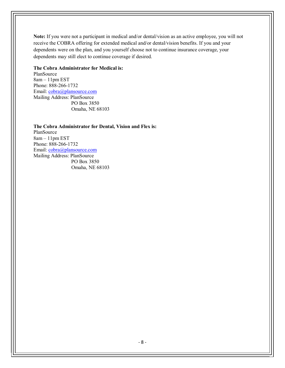**Note:** If you were not a participant in medical and/or dental/vision as an active employee, you will not receive the COBRA offering for extended medical and/or dental/vision benefits. If you and your dependents were on the plan, and you yourself choose not to continue insurance coverage, your dependents may still elect to continue coverage if desired.

#### **The Cobra Administrator for Medical is:**

PlanSource 8am – 11pm EST Phone: 888-266-1732 Email: [cobra@plansource.com](mailto:cobra@plansource.com) Mailing Address: PlanSource PO Box 3850 Omaha, NE 68103

**The Cobra Administrator for Dental, Vision and Flex is:** PlanSource 8am – 11pm EST Phone: 888-266-1732 Email: [cobra@plansource.com](mailto:cobra@plansource.com) Mailing Address: PlanSource PO Box 3850 Omaha, NE 68103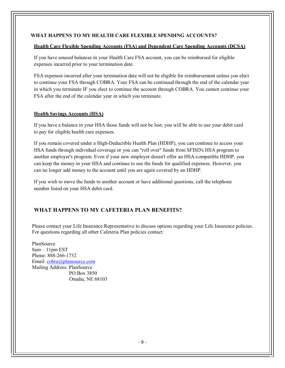## **WHAT HAPPENS TO MY HEALTH CARE FLEXIBLE SPENDING ACCOUNTS?**

#### **Health Care Flexible Spending Accounts (FSA) and Dependent Care Spending Accounts (DCSA)**

If you have unused balances in your Health Care FSA account, you can be reimbursed for eligible expenses incurred prior to your termination date.

FSA expenses incurred after your termination date will not be eligible for reimbursement unless you elect to continue your FSA through COBRA. Your FSA can be continued through the end of the calendar year in which you terminate IF you elect to continue the account through COBRA. You cannot continue your FSA after the end of the calendar year in which you terminate.

## **Health Savings Accounts (HSA)**

If you have a balance in your HSA those funds will not be lost; you will be able to use your debit card to pay for eligible health care expenses.

If you remain covered under a High-Deductible Health Plan (HDHP), you can continue to access your HSA funds through individual coverage or you can "roll over" funds from SFISD's HSA program to another employer's program. Even if your new employer doesn't offer an HSA-compatible HDHP, you can keep the money in your HSA and continue to use the funds for qualified expenses. However, you can no longer add money to the account until you are again covered by an HDHP.

If you wish to move the funds to another account or have additional questions, call the telephone number listed on your HSA debit card.

# **WHAT HAPPENS TO MY CAFETERIA PLAN BENEFITS?**

Please contact your Life Insurance Representative to discuss options regarding your Life Insurance policies. For questions regarding all other Cafeteria Plan policies contact:

PlanSource  $8$ am  $-11$ pm EST Phone: 888-266-1732 Email: [cobra@plansource.com](mailto:cobra@plansource.com) Mailing Address: PlanSource PO Box 3850 Omaha, NE 68103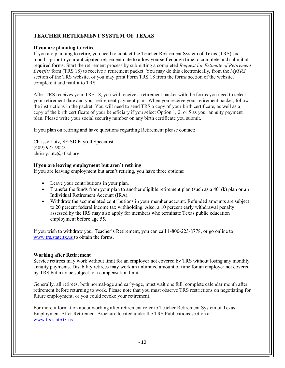# **TEACHER RETIREMENT SYSTEM OF TEXAS**

## **If you are planning to retire**

If you are planning to retire, you need to contact the Teacher Retirement System of Texas (TRS) six months prior to your anticipated retirement date to allow yourself enough time to complete and submit all required forms. Start the retirement process by submitting a completed *Request for Estimate of Retirement Benefits* form (TRS 18) to receive a retirement packet. You may do this electronically, from the *MyTRS*  section of the TRS website, or you may print Form TRS 18 from the forms section of the website, complete it and mail it to TRS.

After TRS receives your TRS 18, you will receive a retirement packet with the forms you need to select your retirement date and your retirement payment plan. When you receive your retirement packet, follow the instructions in the packet. You will need to send TRS a copy of your birth certificate, as well as a copy of the birth certificate of your beneficiary if you select Option 1, 2, or 5 as your annuity payment plan. Please write your social security number on any birth certificate you submit.

If you plan on retiring and have questions regarding Retirement please contact:

Chrissy Lutz, SFISD Payroll Specialist (409) 925-9022 chrissy.lutz@sfisd.org

## **If you are leaving employment but aren't retiring**

If you are leaving employment but aren't retiring, you have three options:

- Leave your contributions in your plan.
- Transfer the funds from your plan to another eligible retirement plan (such as a  $401(k)$  plan or an Individual Retirement Account (IRA).
- Withdraw the accumulated contributions in your member account. Refunded amounts are subject to 20 percent federal income tax withholding. Also, a 10 percent early withdrawal penalty assessed by the IRS may also apply for members who terminate Texas public education employment before age 55.

If you wish to withdraw your Teacher's Retirement, you can call 1-800-223-8778, or go online to [www.trs.state.tx.us t](http://www.trs.state.tx.us/)o obtain the forms.

## **Working after Retirement**

Service retirees may work without limit for an employer not covered by TRS without losing any monthly annuity payments. Disability retirees may work an unlimited amount of time for an employer not covered by TRS but may be subject to a compensation limit.

Generally, all retirees, both normal-age and early-age, must wait one full, complete calendar month after retirement before returning to work. Please note that you must observe TRS restrictions on negotiating for future employment, or you could revoke your retirement.

For more information about working after retirement refer to Teacher Retirement System of Texas Employment After Retirement Brochure located under the TRS Publications section at [www.trs.state.tx.us.](http://www.trs.state.tx.us/)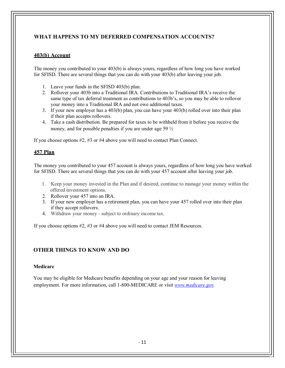# **WHAT HAPPENS TO MY DEFERRED COMPENSATION ACCOUNTS?**

## **403(b) Account**

The money you contributed to your 403(b) is always yours, regardless of how long you have worked for SFISD. There are several things that you can do with your 403(b) after leaving your job.

- 1. Leave your funds in the SFISD 403(b) plan.
- 2. Rollover your 403b into a Traditional IRA. Contributions to Traditional IRA's receive the same type of tax deferral treatment as contributions to 403b's, so you may be able to rollover your money into a Traditional IRA and not owe additional taxes.
- 3. If your new employer has a 403(b) plan, you can have your 403(b) rolled over into their plan if their plan accepts rollovers.
- 4. Take a cash distribution. Be prepared for taxes to be withheld from it before you receive the money, and for possible penalties if you are under age 59 ½

If you choose options #2, #3 or #4 above you will need to contact Plan Connect.

#### **457 Plan**

The money you contributed to your 457 account is always yours, regardless of how long you have worked for SFISD. There are several things that you can do with your 457 account after leaving your job.

- 1. Keep your money invested in the Plan and if desired, continue to manage your money within the offered investment options.
- 2. Rollover your 457 into an IRA.
- 3. If your new employer has a retirement plan, you can have your 457 rolled over into their plan if they accept rollovers.
- 4. Withdraw your money subject to ordinary income tax.

If you choose options #2, #3 or #4 above you will need to contact JEM Resources.

## **OTHER THINGS TO KNOW AND DO**

#### **Medicare**

You may be eligible for Medicare benefits depending on your age and your reason for leaving employment. For more information, call 1-800-MEDICARE or visit *[www.medicare.gov.](http://www.medicare.gov/)*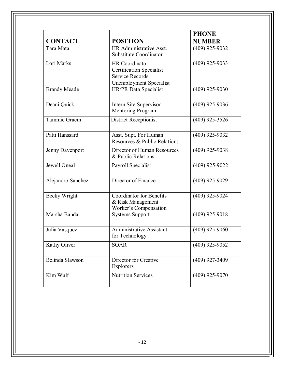| <b>CONTACT</b>      | <b>POSITION</b>                                                                                        | <b>PHONE</b><br><b>NUMBER</b> |
|---------------------|--------------------------------------------------------------------------------------------------------|-------------------------------|
| Tara Mata           | HR Administrative Asst.<br><b>Substitute Coordinator</b>                                               | $(409)$ 925-9032              |
| Lori Marks          | HR Coordinator<br><b>Certification Specialist</b><br><b>Service Records</b><br>Unemployment Specialist | $(409)$ 925-9033              |
| <b>Brandy Meade</b> | HR/PR Data Specialist                                                                                  | $(409)$ 925-9030              |
| Deani Quick         | Intern Site Supervisor<br><b>Mentoring Program</b>                                                     | $(409)$ 925-9036              |
| Tammie Graem        | <b>District Receptionist</b>                                                                           | $(409)$ 925-3526              |
| Patti Hanssard      | Asst. Supt. For Human<br>Resources & Public Relations                                                  | $(409)$ 925-9032              |
| Jenny Davenport     | Director of Human Resources<br>& Public Relations                                                      | $(409)$ 925-9038              |
| Jewell Oneal        | Payroll Specialist                                                                                     | $(409)$ 925-9022              |
| Alejandro Sanchez   | Director of Finance                                                                                    | $(409)$ 925-9029              |
| Becky Wright        | <b>Coordinator for Benefits</b><br>& Risk Management<br>Worker's Compensation                          | $(409)$ 925-9024              |
| Marsha Banda        | <b>Systems Support</b>                                                                                 | $(409)$ 925-9018              |
| Julia Vasquez       | <b>Administrative Assistant</b><br>for Technology                                                      | $(409)$ 925-9060              |
| Kathy Oliver        | <b>SOAR</b>                                                                                            | $(409)$ 925-9052              |
| Belinda Slawson     | Director for Creative<br>Explorers                                                                     | $(409)$ 927-3409              |
| Kim Wulf            | <b>Nutrition Services</b>                                                                              | $(409)$ 925-9070              |